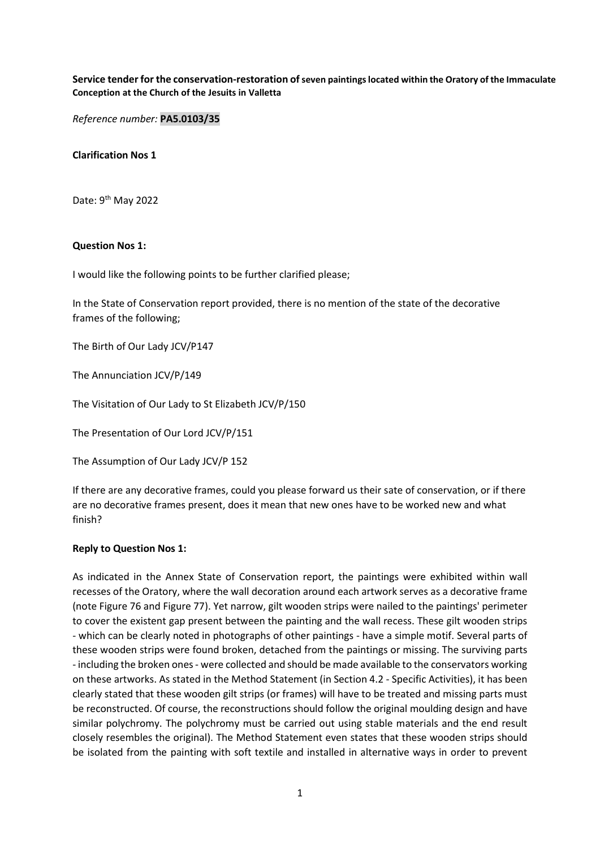### Service tender for the conservation-restoration of seven paintings located within the Oratory of the Immaculate Conception at the Church of the Jesuits in Valletta

Reference number: PA5.0103/35

Clarification Nos 1

Date: 9<sup>th</sup> May 2022

#### Question Nos 1:

I would like the following points to be further clarified please;

In the State of Conservation report provided, there is no mention of the state of the decorative frames of the following;

The Birth of Our Lady JCV/P147

The Annunciation JCV/P/149

The Visitation of Our Lady to St Elizabeth JCV/P/150

The Presentation of Our Lord JCV/P/151

The Assumption of Our Lady JCV/P 152

If there are any decorative frames, could you please forward us their sate of conservation, or if there are no decorative frames present, does it mean that new ones have to be worked new and what finish?

### Reply to Question Nos 1:

As indicated in the Annex State of Conservation report, the paintings were exhibited within wall recesses of the Oratory, where the wall decoration around each artwork serves as a decorative frame (note Figure 76 and Figure 77). Yet narrow, gilt wooden strips were nailed to the paintings' perimeter to cover the existent gap present between the painting and the wall recess. These gilt wooden strips - which can be clearly noted in photographs of other paintings - have a simple motif. Several parts of these wooden strips were found broken, detached from the paintings or missing. The surviving parts - including the broken ones - were collected and should be made available to the conservators working on these artworks. As stated in the Method Statement (in Section 4.2 - Specific Activities), it has been clearly stated that these wooden gilt strips (or frames) will have to be treated and missing parts must be reconstructed. Of course, the reconstructions should follow the original moulding design and have similar polychromy. The polychromy must be carried out using stable materials and the end result closely resembles the original). The Method Statement even states that these wooden strips should be isolated from the painting with soft textile and installed in alternative ways in order to prevent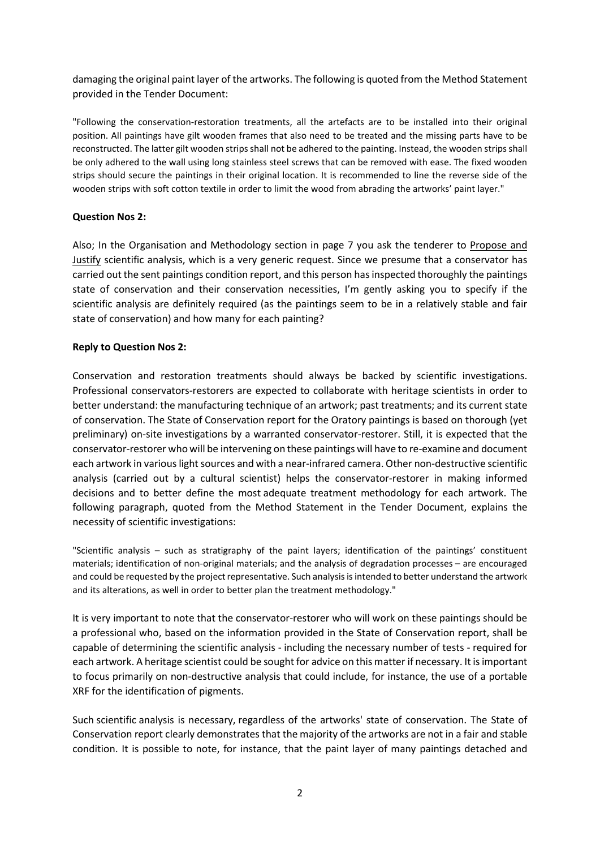damaging the original paint layer of the artworks. The following is quoted from the Method Statement provided in the Tender Document:

"Following the conservation-restoration treatments, all the artefacts are to be installed into their original position. All paintings have gilt wooden frames that also need to be treated and the missing parts have to be reconstructed. The latter gilt wooden strips shall not be adhered to the painting. Instead, the wooden strips shall be only adhered to the wall using long stainless steel screws that can be removed with ease. The fixed wooden strips should secure the paintings in their original location. It is recommended to line the reverse side of the wooden strips with soft cotton textile in order to limit the wood from abrading the artworks' paint layer."

### Question Nos 2:

Also; In the Organisation and Methodology section in page 7 you ask the tenderer to Propose and Justify scientific analysis, which is a very generic request. Since we presume that a conservator has carried out the sent paintings condition report, and this person has inspected thoroughly the paintings state of conservation and their conservation necessities, I'm gently asking you to specify if the scientific analysis are definitely required (as the paintings seem to be in a relatively stable and fair state of conservation) and how many for each painting?

### Reply to Question Nos 2:

Conservation and restoration treatments should always be backed by scientific investigations. Professional conservators-restorers are expected to collaborate with heritage scientists in order to better understand: the manufacturing technique of an artwork; past treatments; and its current state of conservation. The State of Conservation report for the Oratory paintings is based on thorough (yet preliminary) on-site investigations by a warranted conservator-restorer. Still, it is expected that the conservator-restorer who will be intervening on these paintings will have to re-examine and document each artwork in various light sources and with a near-infrared camera. Other non-destructive scientific analysis (carried out by a cultural scientist) helps the conservator-restorer in making informed decisions and to better define the most adequate treatment methodology for each artwork. The following paragraph, quoted from the Method Statement in the Tender Document, explains the necessity of scientific investigations:

"Scientific analysis – such as stratigraphy of the paint layers; identification of the paintings' constituent materials; identification of non-original materials; and the analysis of degradation processes – are encouraged and could be requested by the project representative. Such analysis is intended to better understand the artwork and its alterations, as well in order to better plan the treatment methodology."

It is very important to note that the conservator-restorer who will work on these paintings should be a professional who, based on the information provided in the State of Conservation report, shall be capable of determining the scientific analysis - including the necessary number of tests - required for each artwork. A heritage scientist could be sought for advice on this matter if necessary. It is important to focus primarily on non-destructive analysis that could include, for instance, the use of a portable XRF for the identification of pigments.

Such scientific analysis is necessary, regardless of the artworks' state of conservation. The State of Conservation report clearly demonstrates that the majority of the artworks are not in a fair and stable condition. It is possible to note, for instance, that the paint layer of many paintings detached and